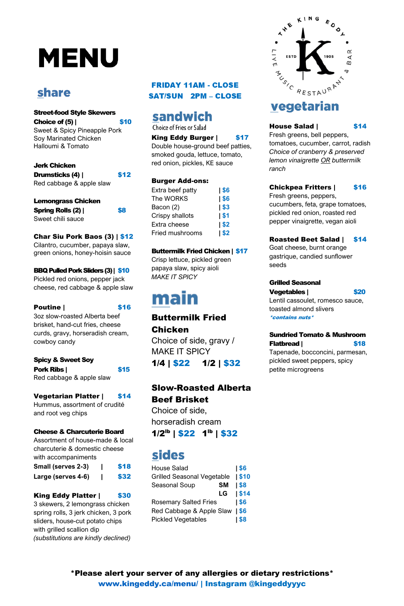# **MENU**

### **share**

\*Please alert your server of any allergies or dietary restrictions\* www.kingeddy.ca/menu/ | Instagram @kingeddyyyc

Choice of  $(5)$  | \$10 Sweet & Spicy Pineapple Pork Soy Marinated Chicken Halloumi & Tomato

### Street-food Style Skewers

### Jerk Chicken

| <b>Drumsticks (4)  </b>  | \$12 |
|--------------------------|------|
| Red cabbage & apple slaw |      |

| <b>Lemongrass Chicken</b> |     |
|---------------------------|-----|
| <b>Spring Rolls (2)  </b> | \$8 |
| Sweet chili sauce         |     |

**Pork Ribs | \$15** Red cabbage & apple slaw

### Vegetarian Platter | \$14

### Char Siu Pork Baos (3) | \$12

Cilantro, cucumber, papaya slaw, green onions, honey-hoisin sauce

#### BBQ Pulled Pork Sliders (3)| \$10

Pickled red onions, pepper jack cheese, red cabbage & apple slaw

### Poutine | \$16

3oz slow-roasted Alberta beef brisket, hand-cut fries, cheese curds, gravy, horseradish cream, cowboy candy

### Spicy & Sweet Soy

Hummus, assortment of crudité and root veg chips

### **FRIDAY 11AM - CLOSE SAT/SUN 2PM - CLOSE**

### sandwich

Choice of Fries or Salad

### King Eddy Burger | \$17

#### Cheese & Charcuterie Board

Assortment of house-made & local charcuterie & domestic cheese with accompaniments

**Small (serves 2-3)** | \$18 **Large (serves 4-6)** | \$32

### King Eddy Platter | \$30

3 skewers, 2 lemongrass chicken spring rolls, 3 jerk chicken, 3 pork sliders, house-cut potato chips with grilled scallion dip *(substitutions are kindly declined)*

### Sundried Tomato & Mushroom Flatbread | \$18

Double house-ground beef patties, smoked gouda, lettuce, tomato, red onion, pickles, KE sauce

### Burger Add-ons:

| Extra beef patty       | \$6       |
|------------------------|-----------|
| The WORKS              | \$6       |
| Bacon (2)              | $1$ \$3   |
| Crispy shallots        | <b>S1</b> |
| Extra cheese           | $1$ \$2   |
| <b>Fried mushrooms</b> | $1$ \$2   |

### Buttermilk Fried Chicken | \$17

Crisp lettuce, pickled green papaya slaw, spicy aioli *MAKE IT SPICY*

## main

### Buttermilk Fried Chicken

Choice of side, gravy / MAKE IT SPICY

1/4 | \$22 1/2 | \$32

### Slow-Roasted Alberta Beef Brisket

Choice of side,



### vegetarian

### House Salad | \$14

horseradish cream

 $1/2<sup>lb</sup>$  | \$22 1<sup>th</sup> | \$32

### **sides**

| <b>House Salad</b>                | <b>S6</b>   |
|-----------------------------------|-------------|
| <b>Grilled Seasonal Vegetable</b> | <b>S10</b>  |
| <b>Seasonal Soup</b><br><b>SM</b> | <b>1\$8</b> |
| LG                                | $1$ \$14    |
| <b>Rosemary Salted Fries</b>      | 1\$6        |
| Red Cabbage & Apple Slaw          | <b>IS6</b>  |
| <b>Pickled Vegetables</b>         | l \$8       |

Fresh greens, bell peppers, tomatoes, cucumber, carrot, radish *Choice of cranberry & preserved lemon vinaigrette OR buttermilk ranch*

### Chickpea Fritters | \$16

Fresh greens, peppers, cucumbers, feta, grape tomatoes, pickled red onion, roasted red pepper vinaigrette, vegan aioli

### Roasted Beet Salad | \$14

Goat cheese, burnt orange gastrique, candied sunflower seeds

### Grilled Seasonal

### Vegetables | \$20

Lentil cassoulet, romesco sauce, toasted almond slivers \*contains nuts\*

Tapenade, bocconcini, parmesan, pickled sweet peppers, spicy petite microgreens